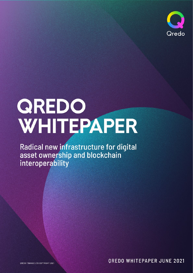

# QREDO WHITEPAPER

Radical new infrastructure for digital<br>asset ownership and blockchain interoperability

OREDO FINANCE LTD COPYRIGHT 2021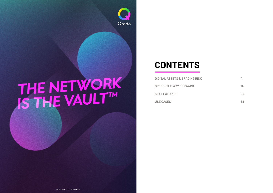

# THE NETWORK

# **CONTENTS**

**DIGITAL ASSETS & TRADING RISK QREDO: THE WAY FORWARD KEY FEATURES USE CASES 38**

**4 14 24**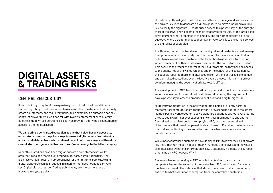# DIGITAL ASSETS & TRADING RISKS

### **CENTRALIZED CUSTODY**

It's an odd irony; in spite of the explosive growth of DeFi, traditional finance traders migrating to DeFi are forced to use centralized custodians that naturally create counterparty and regulatory risks. As an example, if a custodian has any control at all over my wallet it can fall within a law enforcement or regulatory edict to shut down all operations as a service provider, depriving all customers of access to their digital assets.

**We can define a centralized custodian as one that holds, has any access to, or can stop access to the private keys to a user's digital assets. In contrast, a non-custodial decentralized custodian does not hold users' keys and therefore cannot stop user-generated transactions. Qredo belongs to the latter category.**

Recently, custodians have been migrating from a cold storage/hot wallet architecture to one that is built around multi-party computation (MPC). MPC is a massive leap forward in cryptography: for the first time, public keys and digital signatures can be produced in a manner that does not need a private key. Digital signatures, verified by public keys, are the cornerstone of blockchain cryptography.

Up until recently, a digital asset holder would have to manage and securely store the private key used to generate a digital signature (to move funds) and a public key (to verify the signature). Unauthorized access to a private key, or the outright theft of the private key, became the main attack vector for 99% of the large-scale cryptocurrency thefts reported in the media. The only other alternative to 'selfcustody', where a trader manages their own private keys, is to enlist the services of a digital asset custodian.

The thinking behind this trend was that the digital asset custodian would manage their private keys more securely than the trader. The main issue being that in order to use a centralized custodian, the trader has to generate a transaction which transfers all of their assets to a wallet under the control of the custodian. This deprives the trader of control of their digital assets, as they have no access to the private key of the wallet, which is under the control of the custodian. As the publicly reported thefts of digital assets from within centralized exchanges and centralized custodians over the last five years proves, this is an imperfect solution: managing the security of private keys is difficult.

The development of MPC from 'theoretical' to 'practical to deploy' promised some security innovation for centralized custodians; eliminating the requirement to have a private key in order to produce a public key and a digital signature.

Multi-Party Computation is the ability of multiple parties to jointly perform mathematical computations without any party revealing its secret to the others. Multiple parties work together to solve signature equations without ever creating a key to begin with – nor ever exposing any critical information to one another. Centralized custodians could, by employing MPC, become decentralized. Unfortunately, that hasn't happened. Instead, these MPC enabled custodians are themselves continuing to be centralized and have become a concentration of counterparty risk.

While most centralized custodians have deployed MPC to lower the risk of private key theft, they run most if not all of their MPC nodes themselves, and they store all digital asset ownership information in a SQL database. It defeats the purpose of running an MPC network. Why?

Because a hacker attacking an MPC enabled centralized custodian can completely bypass the security of the centralized MPC network and focus on a much easier target: The database that stores<sup>1</sup> the ledger of which customer is entitled to what asset upon redemption from the centralized custodian.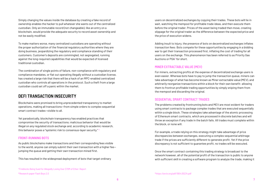Simply changing the values inside the database by creating a fake record of ownership enables the hacker to pull whatever she wants out of the centralized custodian. Only an immutable record (not changeable), like an entry on a blockchain, would provide the adequate security to record asset ownership and not be easily modified.

To make matters worse, many centralized custodians are operating without the proper authorization of the financial regulatory authorities where they are doing business, jeopardizing the regulatory and compliance standing of their customers. Customer's deposits are commingled, not segregated, running against the long-required capabilities that would be expected of licensed traditional custodian.

The combination of single points of failure, non-compliance with regulatory and compliance mandates, or flat out operating illegally without a custodian license, has created a large risk that there will be a hack of an MPC-enabled centralized custodian who controls all operations in the protocol. Such a theft from a large custodian could set off a panic within the market.

#### **DEFI TRANSACTION INSECURITY**

Blockchains were promised to bring unprecedented transparency to market operations, making all transactions—from simple orders to complex sequential smart contract trades—visible to all.

Yet paradoxically, blockchain transparency has enabled practices that compromise the security of transactions; malicious behavior that would be illegal on any regulated stock exchange and, according to academic research, this behavior poses a "systemic risk to consensus-layer security." **<sup>2</sup>**

#### **FRONT-RUNNING BOTS**

As public blockchains make transactions and their corresponding fees visible to the world, anyone can simply submit their own transaction with a higher fee jumping the queue and getting their own transaction mined first.

This has resulted in the widespread deployment of bots that target ordinary

users on decentralized exchanges by copying their trades. These bots will lie in wait, watching the mempool for profitable trade ideas, and then execute them before the original trader. Prices of the asset being traded then move, creating slippage for the original trader as the difference between the expected price and the price of execution widens.

Adding insult to injury, the presence of bots on decentralized exchanges inflates transaction fees: Bots compete for these opportunities by engaging in a bidding war to get their transaction processed first, inflating the cost of trading for all users on the exchange. This phenomenon has been referred to as Priority Gas Auctions or PGA**<sup>3</sup>** for short.

#### **MINER EXTRACTABLE VALUE (MEV)**

For miners, extracting profits at the expense of decentralized exchange users is even easier. Whereas bots have to pay to jump the transaction queue, miners can take advantage of what has become known as Miner extractable value (MEV), and arbitrarily reorganize transactions within a block for their own benefit: allowing them to frontrun profitable trading opportunities by simply sniping them from the mempool and discarding the original.

#### **SEQUENTIAL SMART CONTRACT TRADES**

The problems created by frontrunning bots and MEV are most evident for traders using smart contracts to package complex trades that are executed sequentially within a single block. These strategies take advantage of the atomic processing of Ethereum smart contracts, which are processed in discrete batches and will throw an exception if any trade in the batch fails. All trades must complete within the block, or none will.

For example, a trade relying on this strategy might take advantage of price discrepancies between exchanges, executing a complex sequential arbitrage trade if the prices are sufficiently different to generate profit. Yet if the price discrepancy is not sufficient to guarantee profit, no trades will be executed.

Once the smart contract containing this trading strategy is broadcast to the network however, all of the potential profit of the transaction is public to anyone with sufficient skill in creating a software program to analyze the trade, making it

**<sup>2</sup>**[Research paper Flash Boys 2.0](https://arxiv.org/pdf/1904.05234.pdf) **<sup>1</sup>**[Fireblocks Being Sued for Allegedly Losing Over \\$70M of Ether: Report](https://www.coindesk.com/fireblocks-being-sued-for-allegedly-losing-over-70m-of-ethereum-report)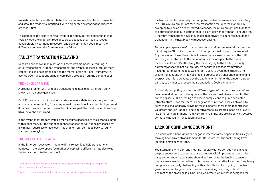irresistible for bots to attempt to be the first to execute the atomic transactions and steal the trade by submitting it with a higher fee prompting the Miners to process it first.

This damages the profits of retail traders obviously, but for hedge funds that typically operate under a shroud of secrecy because they need to recoup considerable investment in research and development, it could mean the difference between the firms success or failure.

#### **FAULTY TRANSACTION RELAYING**

Research has shown manipulation of Ethereum's mempool is resulting in stuck transactions, dropped transactions, and even huge losses through mass liquidations. In one instance during the market crash of Black Thursday 2020, over 50,000 transactions an hour were being dropped from the pending pool.**<sup>4</sup>**

#### **THE NONCE GAP ISSUE**

A broader problem with dropped transactions relates to an Ethereum quirk known as the nonce gap issue.**<sup>5</sup>**

Each Ethereum account must associate a nonce with its transaction, and the nonce must increment by 1 for every mined transaction. For example, if you send 6 transactions in a row and transaction 4 is dropped, the child transactions (5 and 6) will never be confirmed.

In the event, most traders would simply assume gas fees are too low and submit with higher fees, but the out of sequence transaction will not be processed by any miner, regardless of gas fees. This problem can be traced back to faulty transaction relaying.

#### **THE ROLE OF THE RELAYER**

In the Ethereum ecosystem, the role of the relayer is to help transactions compete in the block space fee market by deploying different strategies to get the transaction into the next block.

If a transaction has relatively low computational requirements, such as voting in a DAO, a relayer might opt for a low transaction fee. Whereas for quickly swapping tokens on a decentralized exchange, the relayer might use high fees to optimize for speed. This functionality is critically important as it ensures that Ethereum transactions have enough gas to motivate the miner to include the transaction in the next block, without overpaying.

For example, a package of smart contracts containing sequential transactions might require 100 units of gas worth of computational power to be executed. Any gas amount lower than this will be rejected as insufficient, and the ETH sent for gas is returned to the account minus the gas paid to the miners for the calculation. It's effectively the miner saying to the trader, "not only did your transaction not go through, we deducted gas fees from you for misunderestimating the fees we charge." Ouch. To avoid this, traders often create transactions with high gas fees to process the transaction quicker and overpay, but this is prevented by the gas limit which limits the amount a trader can pay to a miner to process their transaction. Double whammy.

Accurately computing gas fees for different types of transactions in an often volatile market can be challenging, and the relayer must also account for the nonce gap issue. But creating a relayer is complex and requires dedicated infrastructure. However, there is a huge opportunity for Layer 2 networks to solve these challenges by providing strong incentives for their decentralized Validators and MPC Nodes to collaboratively ensure orders placed on a Layer 1 like Ethereum are immune from MEV, front running, and are properly structured so there is no faulty transaction relaying.

#### **LACK OF COMPLIANCE SUPPORT**

In a world of low bond yields and negative interest rates, opportunities like yield farming have driven strong demand for DeFi from institutional trading firms looking to maximize returns.

Yet interacting with DeFi and meeting fiduciary duties don't go hand in hand: despite endeavours to protect smart contracts with improvements and third party audits, security concerns abound as it remains challenging to ensure digital assets are protected from internal and external attack vectors. Regulatory compliance is equally challenging, with authorities still struggling to devise governance and fragmented infrastructure making reporting difficult. The root of the problem lies in DeFi wallet infrastructure that is designed for

[4 Evidence of Mempool Manipulation on Black Thursday: Hammerbots, Mempool Compression,](https://www.blocknative.com/blog/mempool-forensics) and Spontaneous Stuck Transactions

 $^{\rm 5}$  A nonce is an arbitrary number that can be used just once in a cryptographic communication.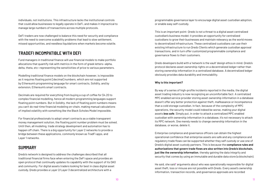individuals, not institutions. This infrastructure lacks the institutional controls that could allow businesses to legally operate in DeFi, and makes it impractical to manage large numbers of transactions across multiple protocols.

DeFi traders are now challenged to balance this need for security and compliance with the need to overcome scalability problems that lead to slow settlement, missed opportunities, and needless liquidations when markets become volatile.

#### **TRADEFI INCOMPATIBLE WITH DEFI**

Fund managers in traditional finance will use financial models to make portfolio allocations that quantify risk with metrics in the form of greek letters—alpha, delta, theta, etc—representing the sensitivities of price to various parameters.

Modelling traditional finance models on the blockchain however, is impossible as it requires floating point [decimal] numbers, which are not supported by Ethereum's programming language for smart contracts, Solidity, and by extension, Ethereum's smart contracts.

Decimals are required for everything from buying a cup of coffee for \$4.20 to complex financial modelling, hence all modern programming languages support floating point numbers. But in Solidity, the lack of floating point numbers means you can't do real-time financial modeling on-chain, making manual calculations of implied volatility with something like the Black Scholes Model impossible.

For financial professionals to adopt smart contracts as a viable transparent money management solution, the floating point number problem must be solved. Until then, all modeling, trade strategy development and automation has to happen off chain. There is a big opportunity for Layer 2 networks to provide a bridge between these applications, commonly known as TradFi apps, and Layer 1 networks.

### **SUMMARY**

Qredo's network is designed to address the challenges described that all traditional financial firms face when entering the DeFi space and provides an open protocol that continually updates its capability with the support of its DAO and community. For digital assets traders looking for best in class digital asset custody, Qredo provides a Layer 2/Layer 3 decentralized architecture with a

programmable governance layer to encourage digital asset custodian adoption, or enable easy self-custody.

He said, she said<sup>6</sup> arguments about who was operationally responsible for digital asset theft, loss or misuse are not possible with Qredo. Every asset's ownership information, transaction records, and governance approvals are recorded

This is an important point: Qredo is not a threat to a digital asset centralized custodian's business model; it provides an opportunity for centralized custodians to grow their businesses and maintain relevancy as the world moves to decentralized infrastructure. These centralized custodians can use their existing infrastructure to run Qredo Clients which generate custodian approval transactions, and in turn offer customized programmable compliance and governance flows to their customers.

Qredo developers build with a 'network is the vault' design ethos in mind. Qredo's protocol declares asset ownership rights on a decentralized ledger rather than storing ownership information in a centralized database. A decentralized ledger obviously provides data durability and immutability.

#### **Why is this important?**

By way of a series of high-profile incidents reported in the media, the digital asset trading industry is now recognizing an uncomfortable fact: A centralized MPC enabled service provider storing asset ownership information in a database doesn't offer any better protection against theft, malfeasance or incompetence than a cold storage custodian. In fact, because of the complexity of MPC operations, the security model could indeed be worse, making your digital assets *less safe*. Simply put, in order to attack a centralized MPC enabled custodian with ownership information in a database, it's not necessary to attack its MPC network. One merely needs to change ownership information in the database, or worse, delete it.

Enterprise compliance and governance officers can obtain the highest operational confidence that enterprise assets are safe and any compliance and regulatory trade flows can be supported whether they self custody or use one of Qredo's digital asset custody partners. This is because the **compliance rules and authorizations that govern trade flows are also written into Qredo's blockchain, just like the ownership information**, thereby gaining the data integrity and security that comes by using an immutable and durable data store (a blockchain).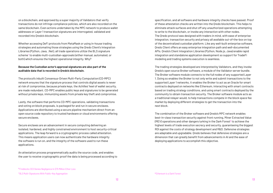on a blockchain, and approved by a super majority of Validators that verify transactions do not infringe compliance policies, which are also recorded on the same blockchain. Even actions undertaken by the MPC network to produce wallet addresses or Layer 1 transaction signatures are interrogated, validated and recorded into Qredo's blockchain.

Whether accessing DeFi protocols from MetaMask or using in-house trading strategies and automating those strategies using the Qredo Client's Integration Libraries (Python, Java, .Net), all trade operations utilize the BLS signature scheme**<sup>7</sup>** to enable multi-custodian-approvals (either manual, automated, or both) which ensures the highest operational integrity. Why?

#### **Because the Custodian actor's approval signatures are also part of the auditable data that is recorded in Qredo's blockchain.**

The protocol's inbuilt Consensus-Driven Multi-Party Computation (CD-MPC) network ensures that the signature process that controls digital assets is never at risk of compromise, because private keys, the Achilles' heel of wallet security, are made redundant. CD-MPC enables public keys and signatures to be generated without private keys, immunizing assets from private key theft and compromise.

Lastly, the software that performs CD-MPC operations, validating transactions and voting on block proposals, is packaged for and run in secure enclaves. Applications are distributed using a secure pipeline mechanism direct from an open source code repository to trusted hardware or cloud environments offering secure enclaves.

Secure enclaves are an advancement in secure computing delivering an isolated, hardened, and highly constrained environment to host security-critical applications. The leap forward is a cryptographic process called attestation. This means application users can now authenticate the hardware integrity the software is run on, and the integrity of the software used to run these applications.

An attestation process programmatically audits the source code, and enables the user to receive cryptographic proof the data is being processed according to specification, and all software and hardware integrity checks have passed. Proof of these attestation checks are written into the Qredo blockchain. This helps to eliminate attack surfaces and shut off any unauthorized operations attempting to write to the blockchain, or invoke any interaction with other nodes. The Qredo protocol was designed with traders in mind, with ease of enterprise integration, transaction security and privacy all available out-of-the-box on top of the decentralized custodian platform. Like any well-built enterprise software, Qredo Client offers an easy enterprise integration path and well-documented APIs. Qredo's Client Integration Libraries (Python, Node.js, Java) enable rapid integration and standalone application development so support for TradeFi modeling and trading systems execution is seamless.

The trading strategies developed are interpreted by Validators, and they invoke Qredo's open source Broker software, a module of the Validator server bundle. The Broker software module connects to the full nodes of any supported Layer 1. Doing so enables the Broker to not only write and submit transactions to the supported Layer 1 networks, it enables the Broker to act as an Oracle for smart contracts deployed on networks like Ethereum, interacting with smart contracts based on trading strategy conditions, and using smart contracts deployed by the community to obtain transaction security. The Broker software module acts as a traditional relayer would, to help transactions compete in the block space fee market by deploying different strategies to get the transaction into the next block.

The combination of the Broker software and Qredo's MPC network enables best-in-class transaction security against front running, Miner Extracted Value (MEV) operations and other dangers lurking in the Dark Forest**<sup>8</sup>** to achieve the highest levels of trade execution secrecy and security, guaranteeing the biggest ROI against the costs of strategy development and R&D. Defensive strategies are adaptable and upgradable. Qredo believes that defensive strategies are a dimension that can greatly benefit from advancements in AI and the ease of deploying applications to accomplish this objective.

**<sup>6</sup>**[Fireblocks CEO Denies Negligence In \\$75 Million Ether Loss](https://www.forbes.com/sites/emilymason/2021/06/23/fireblocks-ceo-denies-negligence-in-75-million-ether-loss/)

**<sup>7</sup>**[BLS Multi-Signatures With Public-Key Aggregation](https://crypto.stanford.edu/~dabo/pubs/papers/BLSmultisig.html) **<sup>8</sup>**[Ethereum is a Dark Forest](https://www.paradigm.xyz/2020/08/ethereum-is-a-dark-forest/)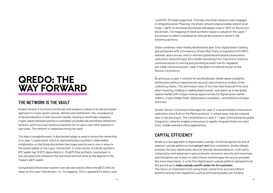# QREDO: THE WAY FORWARD

## **THE NETWORK IS THE VAULT**

Qredo's Version 2.0 protocol reinforces and enables a rollout of its decentralized approach to crypto asset custody, delivery and settlement. The consequence of decentralization is that secured transfer, lending or atomically swapping crypto assets between parties is realizable via Qredo's decentralized settlement network, which accrues numerous benefits for its users over other systems in use today. The network is indeed becoming the vault.

The idea is straightforward: A distributed ledger is used to record the ownership of a Layer 1 crypto asset, which is represented by a synthetic token/wallet combination on the Qredo blockchain that maps exactly one to one in value to the asset's wallet on the Layer 1 blockchain. In other words, if a Qredo synthetic BTC wallet has 10 BTC deposited to it, 10 qBTC (the synthetic counterpart to the real asset) are minted on the next block and will show as the deposit in the Trader's qBTC wallet.

Using Qredo's blockchain explorer one can see exactly where the qBTC links its value on the Layer 1 blockchain, i.e., its mapping. This is repeated for every Layer 1 and ERC-20 token supported. Critically, the Qredo network never engages in rehypothecation. Meaning, the Qredo network stays provably solvent at all times. 1 qBTC on the Qredo blockchain will always map to 1 BTC on the bitcoin blockchain. The mapping of these synthetic values to values on the Layer 1 blockchain is called 'crystallization' and will be covered in detail in the following sections.

Qredo combines a fast-finality blockchain (Layer 2) for digital asset tracking and settlement with a Consensus-Driven Multi-Party Computation (CD-MPC) network, and a secure, end-to-end encrypted decentralized conversation replication network (Layer 3) to handle everything from machine to machine communications to storing and providing an audit trail for regulated pre-trade communications. Layer 3 has been introduced as part of the Version 2.0 protocol.

By acting as a Layer 2 network for any blockchain, Qredo eases scalability bottlenecks without impacting the security and consensus models of the underlying chains. This eliminates many of the risks that financial firms face when investing, holding or trading digital assets, and opens up a new global capital market with unique revenue opportunities for digital asset market makers, crypto hedge funds, digital asset custodians, centralized exchanges and more.

Qredo's Version 2.0 protocol leverages its Layer 3, a decentralized conversation replication store built on the Matrix protocol, in unique ways that are covered later in the document. The combination of Layer 2 + Layer 3 and enterprise grade Integration Libraries enables enterprises to rapidly integrate Qredo into their front, middle and back office applications.

## **CAPITAL EFFICIENCY**

Qredo is a new approach to digital asset custody. It's arrival signals the end of 'passive' custody platforms that extract rent from customers. Qredo's design provides the best digital asset security through decentralization, multi-party computation and advanced crypto protocols, economic security and incentives, and thoughtful use of best-in-class infosec technologies like secure enclaves. But more importantly, it is the first digital asset custody platform designed from the ground up to *make custody a profit center for its customers.* The return on investment from using Qredo comes from accrued indirect benefits arising from capabilities such as eliminating wallet pre-funding,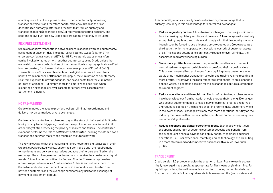enabling users to act as a prime broker to their counterparty, increasing transaction velocity and therefore capital efficiency. Qredo is the first decentralized custody platform and the first to introduce custody and transaction mining (described below), directly compensating its users. The sections below illustrate how Qredo delivers capital efficiency to its users.

#### **RISK FREE SETTLEMENT**

Qredo can confirm transactions between users in seconds with no counterparty, settlement or payment risk, including Layer 1 atomic swaps (BTC for ETH), or crypto-to-fiat transactions (ETH for GBP). No atomic swaps or transfers can be invoked or acted on with another counterparty using Qredo unless the ownership of assets on both sides of the transaction is cryptographically verified in an automated, frictionless, behind-the-scenes process ("Proof of Coin"). Transactions can't be assembled unless the digital assets are there. Users benefit from increased settlement throughput, the elimination of counterparty risk from exposure to unverified funds, and saved costs from the elimination of Proof of Coin fees. Put simply, there is no more "who goes first" when executing an exchange of Layer 1 assets for other Layer 1 assets or fiat. Settlement is instant.

#### **NO PRE-FUNDING**

Qredo eliminates the need to pre-fund wallets, eliminating settlement and delivery risk on centralized crypto exchanges.

Qredo enables centralized exchanges to sync the state of their central limit order book post any trade, triggering the atomic swap of assets on market and limit order fills, yet still preserving the privacy of makers and takers. The centralized exchange performs the role of *settlement orchestrator*, invoking the atomic swap transactions between makers and takers on the Qredo network.

The key takeaway is that the makers and takers keep **their** digital assets in their Qredo Network created wallets, under their control, up until the requirement for settlement and delivery materializes because their orders are filled on the exchange. The exchange never touches or has to receive their customer's digital assets. Alice's limit order is filled by Bob and Charlie. The exchange creates atomic swaps between Alice / Bob and Alice / Charlie and submits them to the Qredo Network where settlement happens in a second or less. A setup flow between customers and the exchange eliminates any risk to the exchange of payment or settlement default.

This capability enables a new type of centralized crypto exchange that is custody-less. Why is this an advantage for centralized exchanges?

face increasing regulatory scrutiny and pressure. All exchanges will eventually

deposit wallet, it becomes possible for the exchange to capture customers in

- **• Reduce regulatory burden.** All centralized exchanges in mature jurisdictions accept being regulated, and obtain and comply with their in-country custody licensing, or, be forced to use a licensed crypto-custodian. Qredo presents a third option, which is to operate without taking custody of customer assets at all. This has the potential to significantly reduce, or even eliminate, the associated regulatory licensing burden.
- **• Serve more profitable customers.** Larger institutional traders often rank centralized exchanges as too high a risk to pre-fund their deposit wallets. This prevents centralized exchanges from acquiring these customers who would bring much higher transaction velocity and trading volume resulting in more profits. By removing the requirement to remit capital to an exchange's this market segment.
- **• Reduce operational and financial risk.** The list of centralized exchanges who have been wiped out from hot wallet or cold storage theft is long. Exchanges who accept customer deposits have a duty of care that creates a reserve of unproductive capital on the balance sheet in order to make customers whole customers' digital assets.
- **• Reduce expenses and tighter operational focus.** Exchanges who jettison the operational burden of securing customer deposits and benefit from the subsequent financial savings can deploy capital to their core business operations (i.e., user experience, matching engine technology, etc.) resulting in a more streamlined and competitive business with a much lower risk profile.

in the event of loss. Exchanges will only face more operational scrutiny as the industry matures, further increasing the operational burden of securing their

#### **TRADE CREDIT**

Qredo Version 2.0 protocol enables the creation of Loan Pools to easily access highly leveraged trade credit, as appropriate for flash loans or yield farming. For liquidity providers, they will resemble a short term money market fund whose function is to primarily loan digital assets to borrowers on the Qredo Network at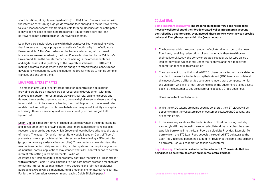short durations, at highly leveraged ratios (8x - 10x). Loan Pools are created with the intention of returning high yields from the fees charged to the borrowers who take out loans for short term trading or yield farming. Because of the anticipated high yields and ease of obtaining trade credit, liquidity providers and loan borrowers do not participate in QRDO rewards schemes.

Loan Pools are single-sided pools with their own Layer 1 outward facing wallet that interacts with dApps programmatically via functionality in the Validator's Broker module. All buy/sell orders for the traders interacting with external blockchains are executed using the Loan Pool wallet directed by the Validator's Broker module, so the counterparty risk remaining is the order acceptance and digital asset delivery efficacy of the Layer1 blockchains (ETH, BTC, etc.), making collateral management scalable enough to offer leverage loans. Qredo's developers will constantly tune and update the Broker module to handle complex transactions and conditions.

#### **LOAN POOL INTEREST RATES**

The mechanisms used to set interest rates for decentralized applications providing credit are an intense area of research and development within the blockchain industry. Interest models play a critical role, balancing supply and demand between the users who want to borrow digital assets and users looking to earn yield on digital assets by lending them out. In practice, the interest rate models used in credit protocols have to balance the goals of liquidity and capital efficiency; this is an evolving field because, in reality, no one has got it all figured out.

Delphi Digital, a research-driven firm dedicated to advancing the understanding and development of the growing digital asset market, has recently released a research paper on the subject, which Qredo engineers believe advances the state of the art. The paper, "Dynamic Interest Rate Models Based on Control Theory", presents a novel approach to setting interest rates based using a PID controller (proportional-integral-derivative controller). Those readers who understand the mechanisms behind refrigeration units, or other systems that require regulation of industrial control applications may wonder what a PID controller has to do with interest rate setting in credit protocols. So did we.

As it turns out, Delphi Digital's paper robustly confirms that using a PID controller with a standard Ziegler-Nichols method to tune parameters creates a mechanism for setting interest rates that is much more accurate and fair than additional approaches. Qredo will be implementing this mechanism for interest rate setting. For further information, we recommend reading Delphi Digital's paper.**<sup>9</sup>**

#### **COLLATERAL**

**Some important takeaways; The trader looking to borrow does not need to move any collateral out of their Qredo created wallet into a margin account controlled by a counterparty, ever. Instead, there are two ways they can provide collateral. Everything stays within the Qredo networ**k.

- **1.** The borrower adds the correct amount of collateral to borrow to the Loan Pool itself, receiving redemption tokens that enable them to withdraw their collateral. Lastly, the borrower creates a special wallet type called a Dedicated Wallet, which is still under their control, and they deposit the redemption tokens to this wallet, or;
- **2.** They can select to use their staked QRDO tokens deposited with a Validator as margin. In the event a trader is using their staked QRDO tokens as collateral this necessitates a different fee schedule to incorporate compensation for the Validator, who is, in effect, agreeing to loan the customer's staked assets back to the customer to use as collateral to access a Qredo Loan Pool.

#### Some important points to note:

- **1.** While the QRDO tokens are being used as collateral, they STILL COUNT as deposits within the Validators pool of customer's staked QRDO tokens, and are earning yield.
- **2.** In the same way as above, the trader is able to offset borrowing costs by earning yield if they deposit the required collateral that matches the asset type it is borrowing into the Loan Pool as a Liquidity Provider. Example: To borrow from the BTC Loan Pool, deposit the required BTC collateral to the Loan Pool, in effect, becoming a Liquidity Provider at the same time as being a borrower. Use your redemption tokens as collateral.

#### **Key Takeaway: The trader is able to continue to earn APY on assets that are being used as collateral to obtain an undercollateralized loan.**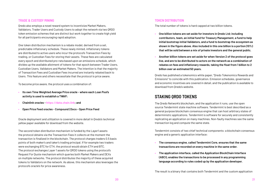#### **TRADE & CUSTODY MINING**

Qredo also employs a novel reward system to incentivize Market Makers, Validators, Trader Users and Custody Users to adopt the network via two QRDO token emission schemes that are distinct but work together to create high yield for all participants encouraging rapid adoption.

One token distribution mechanism is a rebate model, derived from a set, predictable inflationary schedule. These newly minted, inflationary tokens are distributed to active users who incur the protocol's Transaction Fees by trading, or Custodian Fees for storing their assets. These fees are calculated every epoch and distributed pro-rata based upon an emissions schedule, which divides up the available allotment of tokens for that epoch between Trader Users, Custodian Users, Validators and Market Makers. The intention is that the majority of Transaction Fees and Custodian Fees incurred are instantly rebated back to Users. This feature and others necessitate that the protocol is price aware.

To become price aware, the protocol uses a combination of:

- **• Its own Time Weighted Average Price oracle where each Loan Pool's activity is used to establish a TWAP;**
- **• Chainlink oracles [https://data.chain.link](https://data.chain.link/); and**
- **• Open Price Feed oracles Compound | Docs Open Price Feed**

Oracle deployment and utilization is covered in more detail in Qredo's technical yellow paper available for download from the website.

The second token distribution mechanism is funded by the Layer1 assets the protocol obtains via the Transaction Fees it collects at the moment the transaction is finalized in the blockchain. The protocol charges traders 0.5 basis points of both maker's and taker's trading principal. If for example two traders were exchanging BTC for ETH, the protocol would obtain ETH and BTC. The protocol exchanges Layer 1 assets for QRDO tokens using the protocol's Request For Quote mechanism which queries both Market Makers and DEXs on multiple networks. The protocol distributes the majority of these acquired tokens to Validators on the network. As above, this mechanism also leverages the protocol's oracle's for price awareness.

#### **TOKEN DISTRIBUTION**

The total number of tokens is hard capped at two billion tokens.

- **• One billion tokens are set aside for investors in Qredo Ltd; including contributors, team, an initial fund for Treasury Management, a fund to help initial bootstrap initial Validators, and a fund to bootstrap the ecosystem as shown in the figure above. Also included in this one billion is a portion (10%) that will be sold between a mix of private investors and the general public.**
- **• Another billion tokens are set aside for when Version 2 of the protocol goes live, and are to be distributed to actors on the network as a combination of rebates on fees and inflationary rewards, taking the float from 1 billion to 2 billion over an estimated 50 years.**

Qredo has published a tokenomics white paper, "Qredo Tokenomics Rewards and Emissions" to coincide with this publication. Emission schedules, governance and economic incentives are covered in detail, and the publication is available to download from Qredo's website.

## **STAKING QRDO TOKENS**

The Qredo Network's blockchain, and the application it runs, use the open source Tendermint state machine software. Tendermint is best described as a general purpose blockchain consensus engine that can host arbitrary states of deterministic applications. Tendermint is software for securely and consistently replicating an application on many machines. Non-faulty machines see the same transaction log and compute the same state.

Tendermint consists of two chief technical components: a blockchain consensus engine and a generic application interface:

- **• The consensus engine, called Tendermint Core, ensures that the same transactions are recorded on every machine in the same order.**
- **• The application interface, called the Application BlockChain Interface (ABCI), enables the transactions to be processed in any programming language according to rules coded up by the application developer.**

The result is a binary that contains both Tendermint and the custom application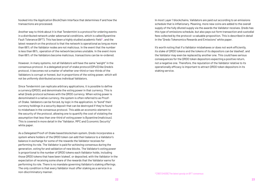hooked into the Application BlockChain Interface that determines if and how the transactions are processed.

Another way to think about it is that Tendermint is a protocol for ordering events in a distributed network under adversarial conditions, which is called Byzantine Fault Tolerance (BFT). This has been a highly studied academic field**10**, and the latest research on the protocol is that the network is operational as long as more than 66% of the Validator nodes are not malicious. In the event that the number is less than 66%, operation of the network becomes unstable. In the event more than 66% of the Validators become malicious, transactions can be re-ordered.

However, in many systems, not all Validators will have the same "weight" in the consensus protocol. In a delegated proof of stake protocol (DPoS) like Qredo's protocol, it becomes not a matter of whether one-third or two-thirds of the Validators is corrupt or honest, but in proportions of the voting power, which will not be uniformly distributed across individual Validators.

Since Tendermint can replicate arbitrary applications, it is possible to define a currency (QRDO), and denominate the voting power in that currency. This is what Qredo protocol achieves with the QRDO currency. When voting power is denominated in a native currency, the system is often referred to as Proofof-Stake. Validators can be forced, by logic in the application, to "bond" their currency holdings in a security deposit that can be destroyed if they're found to misbehave in the consensus protocol. This adds an economic element to the security of the protocol, allowing one to quantify the cost of violating the assumption that less than one-third of voting power is Byzantine (malicious). This is covered in more detail in the "Validator, MPC and Economic Security" white paper.

As a Delegated Proof-of-Stake based blockchain system, Qredo incorporates a system where holders of the QRDO token can add their balance to a Validator's balance in exchange for some of the rewards the Validator receives for performing its role. The Validator is paid for achieving consensus during the generation, voting for and validation of new blocks. The Validator's voting power is proportional to the number of QRDO tokens each Validator holds, including those QRDO tokens that have been 'staked', or deposited, with the Validator in the expectation of receiving some share of the rewards that the Validator earns for performing its role. There is no mandate governing Validator's staking offerings. The only condition is that every Validator must offer staking as a service in a non-discriminatory manner.

In most Layer 1 blockchains, Validators are paid out according to an emissions schedule that is inflationary. Meaning, more new coins are added to the overall supply of the fully diluted supply via the awards the Validator receives. Qredo has this type of emissions schedule, but also pays out form transaction and custodial fees collected by the protocol—a valuable proposition. This is described in detail in the "Qredo Tokenomics Rewards and Emissions" white paper.

It's worth noting that if a Validator misbehaves or does not work efficiently, its stake of QRDO tokens and the tokens of its depositors can be 'slashed', and the Validator may even be replaced by another one. This could have serious consequences for the QRDO token depositors expecting a positive return, not a negative one. Therefore, the reputation of the Validator relative to its operationally efficacy is important to attract QRDO token depositors in its staking service.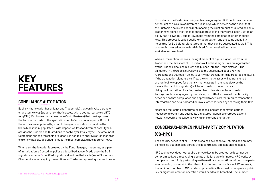# KEY FEATURES

#### **COMPLIANCE AUTOMATION**

Each synthetic wallet has at least one Trader (role) that can invoke a transfer or an atomic swap (trade) of synthetic assets with a counterparty (ex: qBTC for qETH). Each asset has at least one Custodian (role) that must approve the transfer or trade of the synthetic asset to/with a counterparty. Both of these roles are appointed by a Fund Manager, who sets up a Fund on the Qredo blockchain, populates it with deposit wallets for different asset types, assigns the Traders and Custodians to each Layer 1 wallet type. The amount of Custodians and the threshold of signatures needed to approve a transaction is extremely flexible, designed to meet the most complex trade approval flows.

When a synthetic wallet is created by the Fund Manager, it requires, as a part of initialization, a Custodian policy as described above. Qredo uses the BLS signature scheme**11** specified signature algorithm that each Qredo Blockchain Client emits when signing transactions as Traders or approving transactions as Custodians. The Custodian policy writes an aggregated BLS public key that can be thought of as a sum of different public keys which serves as the check that the Custodian policy has been met, meaning the right amount of Custodians plus Trader have signed the transaction to approve it. In other words, each Custodian policy has its own BLS public key, made from the combination of other public keys. This process is called public key aggregation, and the same capability holds true for BLS digital signatures in that they can be aggregated as well. This process is covered more in depth in Qredo's technical yellow paper, [available for download.](https://www.qredo.com/qredo-yellow-paper)

MPC technology does not require a private key to be created, so it cannot be compromised. As a result, single points of failure are eliminated. MPC works by multiple parties jointly performing mathematical computations without one party ever revealing its secret to the others. In order to compromise an MPC network, the minimum number of MPC nodes stipulated in a threshold to complete a public "BLS Multi-Signatures With Public-Key Aggregation **11 BLS Multi-Signature creation operation would need to be breached. The number** 

When a transaction receives the right amount of digital signatures from the Trader and the threshold of Custodians alike, these signatures are aggregated by the Trader's blockchain client and pushed into the Qredo Network. The Validators in the Qredo Network will use the aggregated public key that represents the Custodian policy to verify that transaction's aggregated signature. If the transaction signature verifies, the synthetic asset will be transferred or atomically swapped for other synthetic assets in the next block as the transaction (and its signature) will be written into the next block. Using the Integration Libraries, customized rule sets can be written in Turing complete languages (Python, Java, .NET) that expose all functionality described so that compliance and approval trade flows that require transaction interrogation can be automated or invoke other services by accessing their APIs.

Messages requesting signatures, responses, and other communications necessary to obtain and aggregate signatures happen over Qredo's Layer 3 network, securing message flows with end-to-end encryption.

## **CONSENSUS-DRIVEN MULTI-PARTY COMPUTATION (CD-MPC)**

The security benefits of MPC in blockchains have been well studied and are now being rolled out en masse across the decentralized application landscape.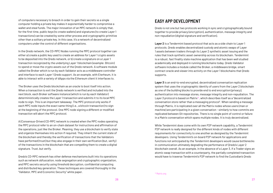of computers necessary to breach in order to gain their secrets vs a single computer holding a private key makes it exponentially harder to compromise a wallet and steal funds. The major innovation of an MPC network is simply that, for the first time, public keys (to create wallets) and signatures (to create Layer 1 transactions) can be created by some other process and cryptographic primitive other than a solitary private key. In this case, it's a network of decentralized computers under the control of different organisations.

In the Qredo network, the CD-MPC Nodes running the MPC protocol together can either a) create a public key used to create an address for Layer 1 crypto assets to be deposited into the Qredo network, or b) create a signature on a Layer 1 transaction recognized by the underlying Layer 1 blockchain (example: Bitcoin) to spend or move the crypto assets out of the Qredo network. A software module called the Broker which is run by each Validator acts as a middleware controller and interface to each Layer 1 Qredo support. As an example, with Eterheum, it is able to interact with a variety of dApps via the Ethereum client it interfaces to.

The Broker uses the Qredo blockchain as an oracle to boot itself into action. When a transaction to exit the Qredo network is verified and included into the next block, each Broker software instance (which is run by each Validator) deterministically creates the Layer 1 transaction and submits it to its local MPC node to sign. This is an important takeaway: The MPC protocol only works if each MPC node inputs the exact same thing (i.e., a bitcoin transaction) to sign at the beginning of the protocol. One MPC node signing a different or modified transaction will abort the MPC protocol.

A (Consensus-Driven) CD-MPC network is created when the MPC nodes operating the MPC protocol refer to an on-chain dataset for instructions and affirmation of the operations, just like the Broker. Meaning, they use a blockchain to verify state and organize themselves into action if required. They inherit the current state of the blockchain and thereby the verification of transactions that the Validators have performed (trust) but they also engage in their own verification (but, verify) of the transactions in the blockchain that are compelling them to create a digital signature. Trust, but verify.

Qredo's CD-MPC network has other defense mechanisms built into its operations such as network obfuscation, node segregation and cryptographic organization, and MPC secrets security using threshold decryption, confidential computing and distributed key generation. These techniques are covered thoroughly in the "Validator, MPC and Economic Security" white paper.

### **EASY APP DEVELOPMENT**

Qredo is not one but two protocols working in sync and cryptographically bound together to provide privacy (encryption), authentication, message integrity and non-repudiation (digital signature and verification).

**Layer 2** is a Tendermint based protocol that acts as a side chain to Layer 1 protocols. Qredo enables decentralized custody and atomic swaps of Layer 1 assets between traders through its Layer 2 synthetic asset issuing and the rules that track synthetic asset ownership across its blockchain. Tendermint is a robust, fast finality state machine application that has been well studied academically and deployed in running blockchains today. Qredo Validator software includes a module called the Broker, a middleware bridge, smart contract oracle and viewer into activity on the Layer 1 blockchains that Qredo supports.

**Layer 3** is an end-to-end encrypted, decentralized conversation replication system that uses the cryptographic identity of users from the Layer 2 blockchain as one of the building blocks to provide end to end encryption (privacy), authentication into message stores, message integrity and non-repudiation. The Layer 3 protocol is based on Matrix**12**, which describes itself as a "decentralized conversation store rather than a messaging protocol". When sending a message through Matrix, it is replicated over all the Matrix nodes whose users (man or machine) are participating in a given conversation - similarly to how commits are replicated between Git repositories. There is no single point of control or failure in a Matrix conversation which spans multiple nodes. It is truly decentralized.

While Tendermint does come with its own P2P network capability, a Tendermint P2P network is really designed for the different kinds of nodes with different requirements for connectivity to one another as designed by the Tendermint developers. Using Tendermint's on-board P2P network for applications and functions not anticipated by the Tendermint developers would cause bottlenecks in communication ultimately degrading the performance of Qredo's Layer 2 blockchain overall. As an example, in the absence of a Layer 3, if a Trader signs an atomic swap transaction with a counterparty, the partially completed transaction would have to traverse Tendermint's P2P network to find the Custodian's Qredo

[12 Matrix.org](https://matrix.org/)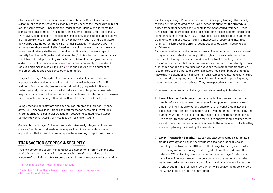Clients, alert them to a pending transaction, obtain the Custodian's digital signature, and send the obtained signature securely back to the Trader's Qredo Client over the same network. Once there the Trader's Qredo Client must aggregate the signatures into a complete transaction, then submit it to the Qredo blockchain. With Layer 3 compiled into Qredo's blockchain client, all the steps outlined above are not only removed from Tendermint's P2P network, but the entire signature flow can be automated, so there is no manual interaction whatsoever. Further, all messages above are digitally signed for providing non-repudiation, message integrity and privacy via the end-to-end encryption using the same type of security found in the Signal app (double ratchet)**13**. This attention to security has led Matrix to be adopted widely within both the UK and French governments, and a number of defense consortiums. Matrix has been widely reviewed and received high marksin security audits.**14** It is open source with a number of implementations and a wide developer community.

Leveraging a Layer 3 based on Matrix enables the development of secure applications that bridge the gap in capability that exists between TradeFi and DeFi. As an example, Qredo's decentralized RFQ (Requests for Quotes) system securely interacts with Market Makers and enables private pre-trade negotiations between a Trader User and another known counterparty to finalize a P2P transaction, enabling a 'Bloomberg Chat' like experience for all users.

Using Qredo's Client software and open source Integration Libraries (Python, Java, .NET) financial institutions can craft messages containing Travel Rule information about a particular transaction between regulated Virtual Asset Service Providers (VASPS), or messages sent to or from VASPs.

Qredo's choice of Layer 2 / Layer 3 and enterprise ready Integration Libraries create a foundation that enables developers to rapidly create stand alone applications that extend the Qredo capabilities resulting in rapid time to value.

## **TRANSACTION SECRECY & SECURITY**

Trading secrecy and security encompasses a number of different dimensions. Institutional traders moving into crypto trading are often surprised at the absence of regulations, infrastructure and technology to secure order execution and trading strategy IP that are common in FX or equity trading. The inability to execute trading strategies on Layer 1 networks such that the strategy is hidden from other network participants is the most stark difference. Hedge funds, algorithmic trading specialists, and other large scale operations spend significant sums of money in R&D to develop strategies and robust automated trading systems that protect the firm's intellectual property and maximise returns. This isn't possible on smart contract enabled Layer 1 networks such as Ethereum.

As covered earlier in the document, an array of adversarial actors are engaged in rogue tactics to steal potential profit and glean observable information that reveals strategies in plain view. A smart contract executing a series of transactions in sequential order that is necessary to profit immediately reveals all intended actions and their desired sequence the moment the transaction is submitted to the Ethereum blockchain. Every node examining the mempool knows all. The situation is no different on Layer 2 blockchains. Transactions are placed into the mempool, and in almost all Layer 2 networks operating today, these transactions have no privacy: They are exposed to all network actors.

Prominent trading security challenges can be summed up in two topics:

- **1. Layer 2 Transaction Secrecy.** How can a trader keep secret transaction details before it is submitted into a Layer 2 mempool so it leaks the least amount of information to other traders on the network? Qredo's Layer 2 blockchain must enable transactions to be evident for data immutability and durability, without risk of loss for any reason at all. The requirement is not to keep secret transactions after the fact, but to encrypt them and keep them secret from other traders, who have access to the same mempool, while they are waiting to be processed by the Validators.
- **2. Layer 1 Transaction Security.** How can one execute a complex automated trading strategy on a Layer 2 network that executes orders on one or more Layer 1 networks (e.g. BTC and ETH arbitrage) requiring exact order sequencing without revealing the strategy itself to other traders on those networks? When trading on a smart contract enabled Layer 1 network, how can a Layer 2 network executing orders on behalf of a trader protect the trader from adversarial network participants and miners who will steal the profit by submitting their own orders which will displace the trader's orders (MEV, PGA bots, etc.), i.e., the Dark Forest.

<sup>&</sup>lt;sup>13</sup> matrix.org End-to-End Encryption implementation quide

<sup>&</sup>lt;sup>14</sup> Matrix's 'Olm' End-to-end Encryption security assessment released - and implemented cross-platform on Riot at last!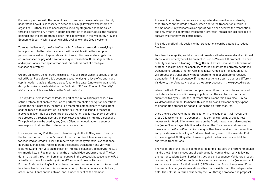Qredo is a platform with the capabilities to overcome these challenges. To fully understand how, it is necessary to describe at a high level how Validators are organized. Further, it's also necessary to use a cryptographic scheme called threshold decryption. A more in-depth description of this structure, the reasons behind it and the cryptographic algorithms deployed is in the "Validator, MPC and Economic Security" white paper which is available on the Qredo web site.

To solve challenge #1, the Qredo Client who finalizes a transaction, readying it to be pushed into the network where it will be visible within the mempool, performs one last act. It generates an AES encryption key, and encrypts the entire transaction payload, save for a unique transaction ID that it generates, and any optional ordering information if this order is part of a multiple transaction strategy.

Qredo's Validators do not operate in silos. They are organized into groups of three called Pods. Pods give Qredo's economic security design a level of strength and sophistication that is unrivaled across functioning Layer 2 networks. Again, this design is broken down in detail in the "Validator, MPC and Economic Security" white paper which is available on the Qredo web site.

The key detail here is that the Pods, as part of the initialization process, run a setup protocol that enables the Pod to perform threshold decryption operations. During the setup process, the three Pod members communicate to each other and the result of this operation is a public key that is published to the Qredo blockchain, identified as a Pod threshold decryption public key. Every operating Pod creates a threshold decryption public key and writes it into the blockchain. This public key can be used by any Qredo Client or network actor to encrypt messages so that only the Pod members can see them.

For every operating Pod, the Qredo Client encrypts the AES key used to encrypt the transaction with the Pod's threshold decryption key. Channels are set up for each Pod on Qredo's Layer 3 to receive encrypted symmetric keys that once decrypted, enable the Pod to decrypt the specific transaction and verify its legitimacy, and then vote on its insertion into the blockchain. To decrypt the AES symmetric key, all Pod members run the threshold decryption protocol. The key detail is that all three members must partake in the protocol, because no one Pod actually has the ability to decrypt the AES symmetric key on its own. Further, Pods containing Validators have their own communication protocol used to vote on block creation. This communication protocol is not accessible by any other Qredo Clients on the network and is independent of the mempool.

The result is that transactions are encrypted and impossible to analyze by other traders on the Qredo network when encrypted transactions reside in the mempool. Only Validators in an operating Pod can decrypt the transaction, and only when the decrypted transaction is written into a block is it possible to analyze by other network participants.

The side benefit of this design is that transactions can be batched to reduce Gas fees.

To solve challenge #2, we take the workflow described above and add additional steps. A new order type will be present in Qredo's Version 2.0 protocol. The new order type is called a Trading Strategy Order. It exists because the Tendermint protocol does not have the capability to force Validators to correctly sequence transactions, among other drivers. If Validator A receives transaction #3, it will process the transaction without regard to the fact Validator B receives transaction #1 in the sequence. If the transactions are split up across different Validators, there's no way to ensure they are processed in the expected order.

When the Qredo Client creates multiple transactions that must be sequenced on its blockchain, a condition may stipulate that the 2nd transaction is not submitted to Layer 2 until the 1st transaction is confirmed in a block. Qredo Validator's Broker modules handle this condition, and will continually expand their condition processing capabilities as the platform matures.

Once the Pod decrypts the 1st transaction in the sequence, it will reveal the Qredo Client's on-chain ID Document. This contains an array of public keys necessary for Qredo Clients to operate on the Qredo network and also contains the Qredo Client's Layer 3 dedicated address. The Pod creates and sends a message to the Qredo Client acknowledging they have received the transaction, and provides a one-time Layer 3 address to directly send to the Validator Pod a) the encrypted AES keys that have encrypted the transactions and, b) the encrypted transactions.

The Validators in the Pod are compensated for making sure their Broker modules handle the 2nd - *n* transactions directly going forward and correctly following the 1st transaction's Layer 2 order instructions and sequence. Validators present cryptographic proof of a completed transaction sequence to the Qredo protocol, and receive a reward for their work in QRDO tokens. All Pods charge an uplift to the protocol's charges via an additional fee that is written into the Relayer order field. The uplift is uniform and is set by the DAO through proposal and proposal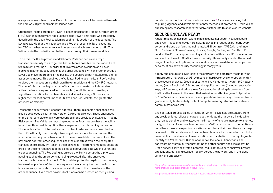acceptance in a vote on chain. More information on fees will be provided towards the Version 2.0 protocol mainnet launch date.

Orders that include orders on Layer 1 blockchains use the Trading Strategy Order (TSO) even though they are not a Loan Pool borrower. This order was previously described in the Loan Pool section preceding this section of the document. The key takeaway is that the trader assigns a Pod the responsibility of executing her TSO in the best manner to avoid detection and achieve trading profit. The Validators in the Pod will execute the orders through their Broker modules.

To do this, the Qredo protocol and Validator Pods can deploy an array of transaction security tools to get the best outcome possible for the trader. Each Qredo Client creating a TSO order that involves order execution on a Layer 1 blockchain automatically prepends the order sequence with an order on Qredo's Layer 2 to move the trader's principal into the Loan Pool that matches the digital asset being traded. This enables the Validator Pod to use the Loan Pool's wallet to place the transaction, via their own Broker modules and the CD-MPC network. The benefit is that the high number of transactions created by independent active traders are aggregated into one wallet (per digital asset) creating a signal to noise ratio which obfuscates an individual strategy. Obviously the higher the transaction volume that utilizes Loan Pool wallets, the greater the obfuscation efficacy.

Transaction security solutions that address Ethereum specific challenges will also be developed as part of the Version 2.0 protocol rollout. These challenges on the Ethereum blockchain were described in the previous Digital Asset Trading Risk section. The Validators, working together in Pods, not only have the ability to perform threshold decryption, they can perform distributed key generation. This enables a Pod to interpret a smart contract order sequence described in the TSO (in Solidity), and modify it to encrypt one or more transactions in the smart contract sequence to anchor it in the next available Ethereum block. The new smart contract order sequence uses the ciphertext within the encrypted transaction(s) already written into the blockchain. The Brokers modules act as an oracle for the smart contract being called to decrypt the data which guarantees order sequencing. The Pod acting as an oracle will only decrypt the ciphertext passing back to the smart contract being executed after the encrypted transaction is included in a block. This provides protection against frontrunners, because key portions of the order sequence have already been written into the block, as encrypted data. They have no visibility as to the true nature of the order sequence. Even more powerful solutions can be created on the fly using

counterfactual contracts**15** and metatransactions.**16** As an ever evolving field requiring vigilance and development of new methods of protection, Qredo will be publishing new research papers that delve further into this topic on its website.

#### **SECURE ENCLAVE READY**

A quiet revolution has been taking place in container security called secure enclaves. This technology is here now, deployed in production by nearly every server and cloud platform, including Intel, AMD, Amazon AWS (with their new Nitro Enclaves), Microsoft Azure, VMware, Google, Docker, and Red Hat. HSM vendors like Entrust support running applications within their HSMs in a secure enclave to achieve FIPS 140-2 Level 3 security. This already enables the widest range of deployment options, in the cloud or in your own datacenter on your own servers, of any new security technology in many years.

Simply put, secure enclaves isolate the software and data from the underlying infrastructure (hardware or OS) by means of hardware-level encryption. Within these secure enclaves, Qredo applications, like Validator software, MPC network nodes, Qredo Blockchain Clients, and the application data (including encryption keys, MPC secrets, and private keys for transaction signing) is protected from theft or attack—even in the event that an insider or attacker gains full physical or "root" access to the machine these applications are running. These hardwaregrade security features fully protect computer memory, storage and network communications as well.

Even better, a process called attestation, which is available as standard from any provider listed, allows enclaves to authenticate the hardware inside which they run as genuine, and to attest to the integrity of enclave memory to a remote party, such as a blockchain. In other words, a Validator booting up their software could have the enclave perform an attestation check that the software package is indeed to official release and has not been tampered with in order to exploit a vulnerability. The absence of an attestation certificate tied to the cryptographic identity of a Validator, MPC node or a Qredo Blockchain Client enables an early warning system, further protecting the other secure enclaves operating Qredo network services from a potential rogue actor. Secure enclaves protect applications, data, and storage—locally, across the network, and in the cloud simply and effectively.

[<sup>15</sup> https://medium.com/coinmonks/understanding-counterfactual-and-the-evolution-of-pay](https://medium.com/coinmonks/understanding-counterfactual-and-the-evolution-of-payment-channels-and-state-channels-9e939d7c6f34)ment-channels-and-state-channels-9e939d7c6f34

[<sup>16</sup> https://medium.com/coinmonks/ethereum-meta-transactions-101-de7f91884a06](https://medium.com/coinmonks/ethereum-meta-transactions-101-de7f91884a06)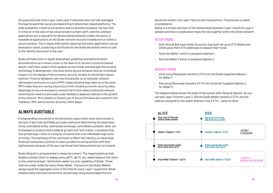#### **BOB**

| ob sends 5 ETH to the<br>ddress Oredo provided        |                                   |
|-------------------------------------------------------|-----------------------------------|
|                                                       |                                   |
| ddress 2: Balance = $5$ ETH                           | <b>LAYER 1</b><br><b>ETHEREUM</b> |
|                                                       |                                   |
| redo automatically credits<br>ob's wallet with 5 qETH |                                   |
|                                                       | <b>LAYER 2</b>                    |
| ob's Wallet: Balance = 5 qETH                         | <b>OREDO BLOCKCHAIN</b>           |
|                                                       |                                   |

It's surprising that other Layer 1 and Layer 2 networks have not fully leveraged the leap forward that secure enclaves bring to blockchain-based platforms. The wide availability in both cloud vendors and on-premise hardware, the fact that it is free or in the case of two cloud vendors a slight uplift, and that attested applications are a natural fit for decentralized networks makes the policy to mandate all applications on the Qredo network must be invoked and run within a secure enclave. This is easily enforced by requiring that every application runs an attestation check, producing a certificate for the Qredo blockchain which is tied to the identity document of the user.

Qredo will have more in-depth deployment guidelines and administration documentation as it moves closer to the date of its Version 2 protocol testnet launch. Until then, expect more updates on how Qredo will leverage this exciting technology in development. One area where secure enclaves have an immediate impact is in the design of the economic security models for blockchain-based systems. Protocol designers can now incorporate, as an example, network obfuscation protocols so a set of MPC nodes would be kept 'dark' as to the other MPC nodes they are running the protocol with. Qredo's economic security takes advantage of secure enclaves to remove the friction when scaling the network, removing the need to continually scale Validator's deposits relative to the growth of the network. More details on Qredo's use of Secure Enclaves are covered in the "Validator, MPC and Economic Security" white paper.

#### **ALWAYS AUDITABLE**

A longstanding conundrum in the blockchain space that's never been solved is the lack of any truly certifiably accurate method of determining the asset base of any centralized entity, centralized exchange, centralized custodian, bank, etc. Exchanges or projects that suddenly go dark with 'exit scams', custodians that lose private keys—there is a long list of events that cost individuals huge sums of money. The overhang of this continues to affect the industry, as many large financial institutions continue to have a problem trusting entities with their digital assets because of the very real threat that these entities are not solvent.

Qredo Network is programmed to always be solvent. The mapping feature that enables a Qredo Client to display every qBTC, qETH, etc. wallet balance 'link' down to the underlying layer 1 blockchain wallet is a core capability of Qredo. These links are made visible for every Qredo Wallet. The sums in the Qredo Wallets always equal the aggregate sums of the links for every Layer 1 supported. Qredo creates these links and connections dynamically using several algorithms to

derive the lowest cost Layer 1 fees on exit transactions. This process is called crystallization.

Below is a simple overview of the relationships between Layer 1 Assets & Layer 2 qAssets and how crystallization maps the two together within the Qredo network

#### **SETUP PHASE**

- **•** Both Alice & Bob have Qredo Accounts, they both set up an ETH Wallet and Qredo gives them ETH addresses to deposit their funds.
- **•** Alice has Wallet 1 which is assigned Address 1.
- **•** Bob has Wallet 2 which is assigned Address 2.

#### **DEPOSIT PHASE**

- **•** Alice using Metamask transfers 2 ETH into the Qredo supplied Address 1 for Wallet 1.
- **•** Bob using Metamask transfers 5 ETH into the Qredo Supplied Address 2 for Wallet 2.

The diagram below shows the state of the system after Setup & Deposit. As you can see Layer 1 mirrors Layer 2. (Alice's Qredo Wallet contains 2 ETH, and the address assigned to that wallet Address 1 has 2 ETH… same for Bob).

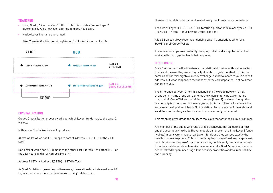#### **TRANSFER**

- **•** Using Qredo, Alice transfers 1 ETH to Bob. This updates Qredo's Layer 2 blockchain so Alice now has 1 ETH left, and Bob has 6 ETH.
- **•** Notice Layer 1 remains unchanged.

After Transfer Qredo's qAsset register on its blockchain looks like this:



#### **CRYSTALLIZATION**

Qredo's Crystallization process works out which Layer 1 funds map to the Layer 2 wallets.

In this case Crystallization would produce:

As Oredo's platform grows beyond two users, the relationships between Layer 1& Layer 2 becomes a more complex 'many to many' relationship.

Alice's Wallet which has 1 ETH maps to part of Address 1, i.e., 1 ETH of the 2 ETH total.

Bob's Wallet which has 6 ETH maps to the other part Address 1; the other 1 ETH of the 2 ETH total and all of Address 2 (5 ETH).

Address 1(1 ETH) + Address 2(5 ETH) = 6 ETH in Total

However, the relationship is recalculated every block, so at any point in time,

The sum of Layer 1 ETH (2+5=7 ETH in total) is equal to the Sum of Layer 2 qETH (1+6 = 7 ETH in total) - thus proving Qredo is solvent.

Alice & Bob can always see the underlying Layer 1 transactions which are 'backing' their Qredo Wallets.

These relationships are constantly changing but should always be correct and available through Qredo's blockchain explorer.

#### **CONCLUSION**

Once funds enter the Qredo network the relationship between those deposited funds and the user they were originally allocated to gets modified. This is the same as any normal crypto currency exchange, as they allocate to you a deposit address, but what happens to the funds after they are deposited, is of no direct concern to you.

The difference between a normal exchange and the Qredo network is that at any point in time Qredo can demonstrate which underlying Layer 1 funds map to their Qredo Wallets containing qAssets (Layer 2), and even though this relationship is in constant flux, every Qredo Blockchain client will calculate the same relationship at each block. So it is defined by consensus of the nodes and Validators and is always solvent as funds are never rehypothecated.

This mapping gives Qredo the ability to make a "proof of funds claim" at all times.

Any member of the public who runs a Qredo Client (whether validating or not) and the accompanying Qredo Broker module can prove that all the Layer 2 funds (wallets) in our system map to real Layer 1 funds and they can see exactly the details of these mappings. This is something that conventional exchanges can't do without some degree of trust, because they could simply omit some records from their database tables to make the numbers tally. Qredo's register lives on a decentralized ledger, inheriting all the security properties of data immutability and durability.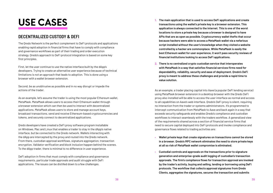# USE CASES

#### **DECENTRALIZED CUSTODY & DEFI**

The Qredo Network is the perfect complement to DeFi protocols and applications enabling rapid adoption in financial firms that have to comply with compliance and governance workflows as part of their trading and order execution strategy. Qredo's approach to DeFi protocol integration is based on some key first principles.

First, let the user continue to use the native interface built by the dApp's developers. Trying to create an alternative user experience because of technical limitations is not an approach that leads to adoption. This is done using a browser with a wallet browser extension.

Second, be as unobtrusive as possible and in no way disrupt or impede the actions of the trader.

As an example, let's assume the trader is using the most popular Ethereum wallet, MetaMask. MetaMask allows users to access their Ethereum wallet through a browser extension which can then be used to interact with decentralized applications. MetaMask allows users to store and manage account keys, broadcast transactions, send and receive Ethereum-based cryptocurrencies and tokens, and securely connect to decentralized applications.

Qredo developers have created a DeFi proxy software program installable on Windows, Mac and Linux that enables a trader to stay in the dApp's native interface, but be connected to the Qredo network. Wallets interacting with the dApp are intercepted by the proxy and routed into the Qredo network. From there, custodian approval workflows, signature aggregation, transaction encryption, Validator verification and block inclusion happen behind the scenes. To the dApp trader, there is minimal to no difference in user experience.

DeFi adoption in firms that must comply with compliance and governance requirements, particular trade approvals and audit struggle with DeFi applications. The issues can be distilled down to a few challenges.

- **1. The main application that is used to access DeFi applications and create transactions using the wallet's private key is a browser extension. This application is always connected to the internet. This is one of the worst locations to store a private key because a browser is designed to have APIs that are as open as possible. Cryptocurrency wallet thefts that occur because hackers were able to access a MetaMask wallet via a nefarious script installed without the user's knowledge when they visited a website controlled by a hacker are commonplace. While MetaMask is easily the best Ethereum wallet for user experience, it won't pass security reviews of financial institutions looking to access DeFi applications.**
- **2. There is no centralized crypto custodian service that interoperates with MetaMask in a way that satisfies financial services firms need for dependability, reliability, security and ease of deployment. Qredo's DeFi proxy is meant to address these challenges and provide a rapid time to value solution.**

As an example, a trader placing capital into Aave (a popular DeFi lending service) using MetaMask browser extension in a desktop browser with the Qredo DeFi proxy also installed will be able to access the user interface as normal and access to all capabilities on Aave's web interface. Qredo's DeFi proxy is silent, requiring no interaction from the trader or systems administrators. It's programmed to intercept communication from MetaMask to Aave and back again in a way that exceeds security safeguards and enables Qredo's compliance and custodian workflows to interact seamlessly with the traders workflow. A generalized view of the requirements shared across a section of financial service firms that need to secure capital deployed into DeFi protocols and invoke compliance and governance flows related to trading activities are:

- **• Wallet private keys that create signatures on transactions cannot be stored in a browser. Qredo's MPC network eliminates the need to store private keys at all so risk of MetaMask wallet compromise is eliminated.**
- **• Custodial controls and approvals on the transactions prior to signature generation and enterprise-grade audit logging of custodian's transaction approvals. The firm's compliance flows for transaction approval are invoked by the trader's activity, buying and selling, lending or borrowing using DeFi protocols. The workflow that collects approval signatures from Qredo Clients, aggregates the signatures, secures the transaction and submits**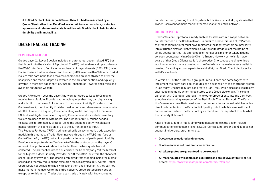**it to Qredo's blockchain is no different than if it had been invoked by a Qredo Client rather than MetaMask wallet. All transactions data, custodian approvals and relevant metadata is written into Qredo's blockchain for data durability and immutability.**

#### **DECENTRALIZED TRADING**

#### **DECENTRALIZED RFQ**

Qredo's Layer 2 / Layer 3 design includes an automated, decentralized RFQ bot that is built into the Version 2.0 protocol. The RFQ bot enables a simple Uniswaplike Web3 interface to facilitate the exchange of Layer-1 assets (BTC / ETH) using Market Makers that have staked and bonded QRDO tokens with a Validator. Market Makers take part in the token rewards scheme and are incentivized to offer the best prices and market depth as covered in the previous section, and explicitly covered in the white paper entitled, "Qredo Tokenomics Rewards and Emissions" available on Qredo's website.

Qredo's RFQ system uses the Layer 3 network for Users to issue RFQs to and receive from Liquidity Providers actionable quotes that they can digitally sign and submit to the Layer-2 blockchain. To become a Liquidity Provider on the Qredo network, the Liquidity Provider must acquire and stake a minimum number of QRDO tokens in a Liquidity Provider staking wallet, and deposit a minimum USD value of digital assets into Liquidity Provider inventory wallets. Inventory wallets are used to trade with Users. The number of QRDO tokens needed to stake are determined by protocol using the economic activity indicators measured from the genesis block up to the current block as input. The Request For Quote ("RFQ") trading method is an asymmetric trade execution model. In this method, a Trader User invokes, through the Web3 interface or Qredo Client API, the RFQ bot which queries a finite set of participant Liquidity Providers who quote a bid/offer ("a market") to the protocol using the Layer-3 network. The protocol will show the Trader User the best quote from all collected. The protocol enforces a rule where the User may only "hit the bid" (sell to the highest bidder Liquidity Provider) or "lift the offer" (buy from the cheapest seller Liquidity Provider). The User is prohibited from stepping inside the bid/ask spread and thereby reducing the execution fees. In a typical RFQ system Trader Users would not be able to trade with each other, and importantly, they can not make markets themselves to the entire network. Qredo protocol provides an exception to this in that Trader Users can trade privately with known, trusted

counterparties bypassing the RFQ system, but is like a typical RFQ system in that Trader Users cannot make markets themselves to the entire network.

#### **OTC DARK POOLS**

Qredo's Version 1.0 protocol already enables trustless atomic swaps between counterparties on the Qredo network. In order to create this kind of P2P order, the transaction initiator must have registered the identity of this counterparty into a 'Trusted Network' list, which is a whitelist its Qredo Client maintains of single counterparties it is approved to either act as a maker or taker. In doing so, each counterparty in a Qredo Client's Trusted Network whitelist is made aware of that Qredo Client's wallet's shortcodes. Shortcodes are simple three word mnemonics that are created on the Qredo blockchain whenever a wallet is created. By adding a counterparty to a whitelist, that Qredo Client discloses its wallet's shortcode.

In Version 2.0 of the protocol, a group of Qredo Clients can come together to implement their own dark pool that utilizes an expansion of the shortcode system in use today. One Qredo Client can create a Dark Pool, which also receives its own shortcode mnemonic which is registered to the Qredo blockchain. This client can then, with Custodian approval, invite other Qredo Clients into the Dark Pool, effectively becoming a member of the Dark Pool's Trusted Network. The Dark Pool's members have their own Layer 3 communications channel, which enables direct order entry into the Dark Pool's Liquidity Hub. The hub is a repository of quotes submitted into the Dark Pool by its members. It's important to note what the Liquidity Hub is not.

A Dark Pool's Liquidity Hub is simply a dedicated topic in the decentralized communications channel; it is not a CLOB (Central Limit Order Book). It does not support limit orders, stop limits, etc.

- **• Quotes can be updated and removed**
- **• Quotes can have set time limits for expiration**
- **• All taken quotes are guaranteed to be executed**
- **• All maker quotes will contain an expiration and are equivalent to Fill or Kill orders:<https://www.investopedia.com/terms/f/fok.asp>**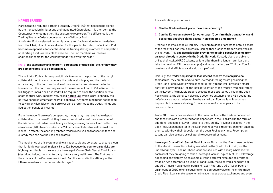#### **MARGIN TRADING**

Margin trading requires a Trading Strategy Order (TSO) that needs to be signed by the transaction initiator and their appointed Custodians. It is then sent to the Counterparty for completion, like an atomic swap order. The difference is the Trading Strategy Order's counterparty is a Validator Pod. A Validator Pod is selected randomly using a verifiable random function derived from block height, and once called up for this particular order, the Validator Pod becomes responsible for shepherding the trading strategy's orders to completion or aborting it if it is infeasible to execute. The Pod members will receive additional income for the work they undertake with this order

.

#### **NOTE: the exact mechanism (profit, percentage of trade size, etc.) of how they are compensated is to be determined.**

The Validator Pod's chief responsibility is to monitor the position of the margin collateral during the window where the collateral is in play and the trade is outstanding. If the borrower's value of their security drops in relation to the loan amount, the borrower may exceed the maximum Loan to Value Ratio. This will trigger a 'margin call' and Pod will be required to close the position out via another order type, imaginatively called Margin Call which is pre-signed by the borrower and requires **2/3** of the Pod to approve. Any remaining funds not needed to pay off any liabilities of the borrower can be returned to the trader, minus any liquidation penalties incurred.

From the trader/borrower's perspective, though they may have had to deposit collateral into the Loan Pool, they have not remitted any of their assets out of Qredo's decentralized network to any exchange, saving on fees. Even better, they can access QRDO tokens staked at a Validator as collateral as well, even if it is locked. In effect, the accruing rebates traders received on transaction fees and custody fees can now be used as collateral.

The mechanics of this system enable a trader to pledge collateral to create a loan that is highly leveraged, typically 8x to 10x, because the counterparty risks are highly quantifiable. In the case of a Leveraged, Cross-Chain Secret Flash Loans (described below), the counterparty risks are very well known. The first one is the efficacy of the Qredo network itself. And the second is the efficacy of the Ethereum network or other reputable Layer 1.

The evaluation questions are:

## **2. Can the Ethereum network (or other Layer 1) confirm their transactions and**

- **1. Can the Qredo network place the orders correctly?**
- **deliver the acquired digital assets in an expected time frame?**

Qredo's Loan Pools enable Liquidity Providers to deposit assets to obtain a share of the fees the Loan Pool collects by issuing these loans to trader/borrower's on the network. This **enables a liquidity provider to obtain a passive income from an asset already in custody in the Qredo Network.** Custody Users are able to utilize their staked QRDO tokens, collateralize them in a longer term loan, and take the resulting ETH (as an example) and move that into an ETH Loan Pool for greater capital efficiency and yield on top of yield.

Uniquely, **the trader acquiring the loan doesn't receive the loan principal themselves**, they create and execute leveraged trading strategies using the Qredo Loan Pool's wallets which connect directly to the DeFi protocol's smart contracts, providing out-of-the-box obfuscation of the trader's trading strategy on the Layer-1. As multiple traders execute these strategies through the Loan Pools wallets, the signal to noise ratio becomes untenable for a MEV bot acting nefariously as more traders utilize the same Loan Pool wallets. It becomes impossible to assess a strategy from a cascade of what appears to be random orders.

Trader/Borrowers pay fees back to the Loan Pool once the trade is concluded, and these fees are distributed to the depositors in the Loan Pool in the form of additional deposits of Layer-1 assets to the Liquidity Provider's balance in the Loan Pool. Each depositor in the Loan Pool receives a redemption token enabling them to withdraw their deposit from the Loan Pool at any time. Redemption tokens can also be used as collateral to secure other loans.

**Leveraged Cross-Chain Secret Flash Loans** - Note that the 'Flash Loan' pertains to the atomic transactions being executed on the Qredo blockchain, not the underlying Layer-1 chains. These loans are secured with a margin balance for each asset they are going to take a leveraged loan on, typically at 8x-10x leverage depending on volatility. As an example, if the borrower executes an arbitrage trade on two different DEXs using YFI and USDT, the User would need both YFI and USDT margin balances in both a YFI Loan Pool and a USDT Loan Pool, or an amount of QRDO tokens equaling to the aggregate value of the entire trade. Qredo Flash Loans make sense for arbitrage trades across exchanges and even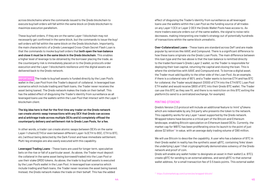across blockchains where the commands issued to the Qredo blockchain to execute buy/sell orders will fall within the same block on Qredo blockchain to maximize execution parallelism.

These buy/sell orders, if they are on the same Layer-1 blockchain may not necessarily get confirmed in the same block, but the commands to issue the buy/ sell orders will fall within the same block on the Qredo blockchain. Importantly, the main characteristic of a Qredo Leveraged Cross-Chain Secret Flash Loan is that the commands to invoke buy/sell orders that **both open the loan balance and close it must be in the same block in the Qredo blockchain**. This enables a higher level of leverage to be obtained by the borrower placing the trade, as the counterparty risk is immediately placed on to the Qredo protocol's order execution and the Layer-1 blockchain's resilience until the digital assets are delivered back to the Qredo network.

**IMPORTANT:** The trade to buy/sell assets is funded directly by the Loan Pool's wallet in the Loan Pool from the Trader's deposit of collateral. In leveraged loan scenarios which include trading and flash loans, the Trader never receives the asset being loaned. The Qredo network makes the trade on their behalf. This has the added effect of disguising the Trader's identity from surveillance as all leveraged loans use the wallets within the Loan Pool that interact with the Layer 1 blockchain client.

**The big idea here is that for the first time any trader on the Qredo network can create atomic swap transactions with any DEX that Qredo can access and a) arbitrage trade across multiple DEXs and b) completely offload the counterparty delivery and settlement risk to Qredo Loan Pools, for a fee.** 

In other words, a trader can create atomic swaps between DEX's on the same Layer-1 chains (ETH) or even between different Layer-1s (ETH to BSC, ETH to BTC, etc.) without being detected by the Dark Forest and have immediate settlement. Multi-leg strategies are also easily executed with this capability.

**Leveraged Trading Loans** - These loans are used for longer term, speculative bets on the rise or fall of a particular asset. As above, the Trader must deposit the collateral in the same asset being borrowed/traded into the Loan Pool or use their stake QRDO tokens. As above, the trade to buy/sell assets is executed by the Loan Pool's wallet in the Loan Pool. In leveraged loan scenarios which include trading and flash loans, the Trader never receives the asset being loaned. Instead, the Qredo network makes the trade on their behalf. This has the added

effect of disguising the Trader's identity from surveillance as all leveraged loans use the wallets within the Loan Pool as the funding source of all trades on any Layer 1 CEX or Layer 2 DEX the Qredo Wallet Pools have access to. As more traders execute orders out of the same wallets, the signal to noise ratio decreases, making interpreting one trader's strategy out of potentially hundreds of transactions within the same block unrealistic.

**Over-Collateralized Loans** - These loans are standard across DeFi and are made popular by services like AAVE and Compound. There is a significant difference to how these loans originate via the Qredo Loan Pools. The main difference between this loan type and the two above is that the loan balance is remitted directly to the trader/borrower's Qredo Layer 2 wallet, so the Trader is responsible for deploying their loan capital, returning the capital and closing the loan. This is where the similarities with AAVE and Compound end. To borrow a digital asset, the Trader must add liquidity to the other side of the Loan Pool. As an example, if there is a collateral rate of 80% and a Trader wants to borrow ETH and has BTC for collateral, the Trader would deposit \$1000 of ETH into the ETH/BTC Loan Pool ETH wallet and would receive \$800 of BTC into their Qredo BTC wallet. The Trader can use this BTC as they see fit, and there is no restriction on this BTC exiting the platform (to send to a centralized exchange, for example).

#### **MINTING QTOKENS**

Qredo's Version 2.0 protocol will include an additional feature to 'mint' qTokens which are redeemable by any 3rd party who presents the token to the network. This capability works for any Layer 1 asset supported by the Qredo network. Wrapped tokens have become a critical part of the Bitcoin and Ethereum landscape, enabling Bitcoin speculation on Ethereum based DEXs. Currently, the market cap for WBTC has been proliferating since its launch to the point of just above \$2 billion**17** in value, with an average daily trading volume of \$90 million.

We will use Bitcoin to describe the capability. A user who has a balance of BTC in their Qredo wallet in reality has the synthetic asset qBTC, containing 'links' down the underlying Layer 1 that cryptographically demonstrates solvency of the Qredo network and proof of coin.

Qredo will enable any wallet holder to designate an asset in their wallet (i.e. BTC), create qBTC for sending to an external address, and send qBTC to that external wallet address, for a small transaction fee of 0.5 basis points. This external wallet

[<sup>17</sup> https://coinmarketcap.com/currencies/wrapped-bitcoin/](https://coinmarketcap.com/currencies/wrapped-bitcoin/)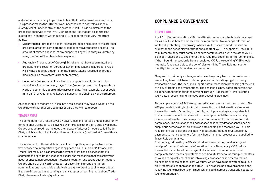

address can exist on any Layer 1 blockchain that the Qredo network supports. This process moves the BTC that was under the user's control to a special custody wallet under control of the protocol itself. This is no different to the processes observed to mint WBTC or other entities that act as centralized custodian's in charge of warehousing BTC, except for three very important points.

- **• Decentralized** Qredo is a decentralized protocol, and built into the protocol are safeguards that eliminate the prospect of rehypothecating assets. The amount of minted qTokens (of any supported Layer 1) is always auditable by using the Qredo Client blockchain explorer.
- **• Auditable** The amount of Qredo qBTC tokens that have been minted and are floating in circulation across all Layer 1 blockchains in aggregate value will always equal the amount of minted qBTC tokens recorded on Qredo's blockchain, so the system is probably solvent.
- **• Universal** Qredo's capability will not just support one blockchain. This capability will exist for every Layer 1 that Qredo supports, opening up a broad world of economic opportunities across chains. As an example, a user could mint qBTC for Algorand, Polkadot, Binance Smart Chain as well as Ethereum.

Anyone is able to redeem a qToken into a real asset if they have a wallet on the Qredo network for that particular asset type they wish to redeem.

#### **TRADER CHAT**

The combination of Qredo's Layer 2 / Layer 3 design creates a unique opportunity for Version 2.0 protocol to be invoked by interfaces other than a static web page. Qredo's product roadmap includes the release of a Layer 3 module called Trader Chat, which is able to invoke all actions within a user's Qredo wallet from within a chat interface.

The key benefit of this module is its ability to rapidly speed up the transaction flow between counterparties negotiating prices on a Dark Pool or P2P trade. The Trader Chat module also addresses the key need for financial service firms to aggregate their pre-trade negotiations under one mechanism that can satisfy the need for privacy, non-preduation, message integration and strong authentication. Qredo's choice of the Matrix protocol for Layer 3 end-to-end encrypted communications makes this a relatively straightforward capability to produce. If you are interested in becoming an early adopter or learning more about Trader Chat, please email sales@qredo.com

#### **COMPLIANCE & GOVERNANCE**

#### **TRAVEL RULE**

The FATF Recommendation #16 (Travel Rule) creates many technical challenges for VASPs. First, how to comply with the requirement to exchange information while still protecting user privacy. When a VASP wishes to send transaction originator and beneficiary information to another VASP in support of Travel Rule requirements, they must establish secure communication with the other VASP. So in both cases end to end encryption is required. Secondly, for full compliance, if the inbound transaction is from a regulated VASP, the receiving VASP should not make funds available to the beneficiary until the Travel Rule transaction identity information is received and recorded.

Many VASPs—primarily exchanges who have large daily transaction volumes are looking to retrofit Travel Rule compliance onto existing cryptocurrency transaction flows. The idea is to support batch transaction processing at the end of a day of trading and transactions. The challenge is how batch processing can be done without impacting the Straight Through Processing (STP) of existing VASP data processing and transaction processing pipelines.

For example, some VASPs have optimized blockchain transactions to group 50- 200 payments in a single blockchain transaction, which dramatically reduces transaction costs. According to FinCEN, batch processing is acceptable, but funds received cannot be delivered to the recipient until the corresponding originator information has been provided and scanned for sanctions and risk compliance. The onus for checking transaction identity data for sanctioned or suspicious persons or entities falls on both sending and receiving VASPs. This requirement can delay the availability of outbound/inbound cryptocurrency payments to many customers for many hours if manual processes are applied to Travel Rule compliance.

Additionally, originating VASPs should always ensure they receive a signed receipt of transaction identity information from a Beneficiary VASP before transactions are placed onto a layer-1 blockchain. This requirement can complicate the processing systems at sending VASPs because multiple transfers of value are typically batched up into a single transaction in order to reduce blockchain processing fees. That workflow would have to be reworked to queue only transfers to happen once the Travel Rule processing between sending and receiving VASPs has been confirmed, which could increase transaction costs for VASPs dramatically.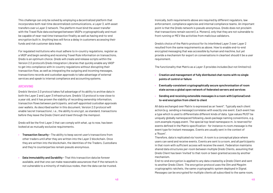This challenge can only be solved by employing a decentralized platform that incorporates both real-time decentralized communications, a Layer 3, with asset transfers over a Layer 2 network. The platform must bind the asset transfer with the Travel Rule data exchanged between VASPs cryptographically and must be capable of near-real time transaction finality as well as having end-to-end encryption built in. Anything less will force a delay in customers accessing their funds and risk customer data leaks.

For regulated institutions who must adhere to in-country regulations, register as a VASP and begin sending and receiving Travel Rule information on transactions, Qredo is an optimum choice. Qredo will create and release scripts within the Version 2.0 protocol's Qredo Integration Libraries that quickly enable any VASP to get into compliance with in-country regulations without disrupting their transaction flow, as well as integrating the outgoing and incoming messages, transactions records and custodian approvals to take advantage of external services and speak to internal compliance and accounting systems.

#### **ARCHIVING**

Qredo's Version 2.0 protocol takes full advantage of its ability to archive data in both the Layer 2 and Layer 3 infrastructure. Qredo's 1.0 protocol is now close to a year old, and it has proven the viability of recording ownership information, transaction flows between participants, and self-appointed custodian approvals over wallets. As described earlier in this document, Version 2.0 protocol will enable 'secret transactions', i.e., the ability to encrypt, as standard, transactions before they leave the Qredo Client and travel through the mempool.

Qredo will be the first Layer 2 that can comply with what, up to now, has been looked at as mutually exclusive requirements.

- **• Transaction Security** The ability to keep secret user's transactions from other traders until after they are written into the Layer 2 blockchain. Once they are written into the blockchain, the identities of the Traders, Custodians and they're counterparties remain pseudo anonymous.
- **• Data Immutability and Durability** That this transaction data be forever available, and that one can make reasonable assurances that if the network is not vulnerable to a minority of malicious nodes, then the data can be trusted.

Ironically, both requirements above are required by different regulators, law enforcement, compliance agencies and internal compliance teams. An important point is that the Qredo network is pseudo anonymous. Qredo does not proclaim that transactions remain secret (i.e. Monero), only that they are not vulnerable to front running or MEV like activities from malicious validators.

Qredo's choice of the Matrix protocol for its interlinked Layer 3 over Layer 2 resulted from the same requirements as above. How to enable end-to-end encrypted messaging that was accessible by human and machine, but yet provide a mechanism for export on conversations in cleartext should it be a user requirement.

The functionality that Matrix as a Layer-3 provides includes (but not limited to):

- **• Creation and management of fully distributed chat rooms with no single points of control or failure**
- **• Eventually-consistent cryptographically secure synchronisation of room state across a global open network of federated servers and services**
- **• Sending and receiving extensible messages in a room with (optional) endto-end encryption from client to client**

All data exchanged over Matrix is expressed as an "event". Typically each client action (e.g. sending a message) correlates with exactly one event. Each event has a type which is used to differentiate different kinds of data. type values MUST be uniquely globally namespaced following Java's package naming conventions, e.g. com.example.myapp.event. The special top-level namespace m. is reserved for events defined in the Matrix specification - for instance m.room.message is the event type for instant messages. Events are usually sent in the context of a "Room".

Therefore, data is replicated via 'rooms'. A room is a conceptual place where users can send and receive events. Events are sent to a room, and all participants in that room with sufficient access will receive the event. Federation maintains shared data structures per-room between multiple Qredo Clients, assuming that Qredo Client has been 'invited' to that room or been granted access by another mechanism.

End-to-end encryption is applied to any data created by a Qredo Client and sent to another Qredo Client. The encryption protocol uses the Olm and Megolm cryptographic ratchets, the same cryptographic system deployed in Signal. Messages can be encrypted for multiple clients all subscribed to the same room,